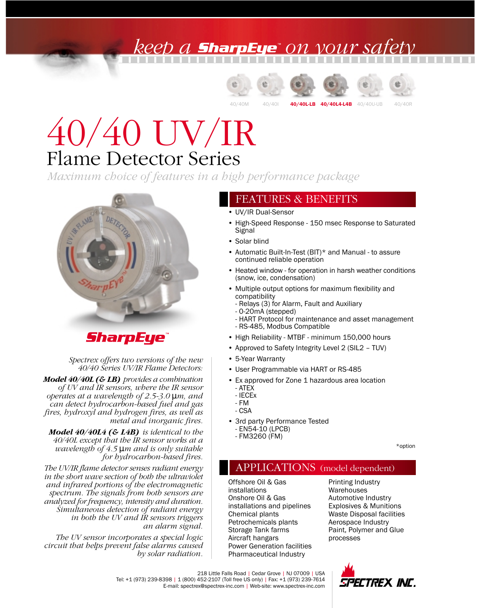## keep a **sharpEye**" on your sa









# Flame Detector Series 40/40 UV/IR

*Maximum choice of features in a high performance package*



### **SharpEye**

*Spectrex offers two versions of the new 40/40 Series UV/IR Flame Detectors:*

*Model 40/40L (& LB) provides a combination of UV and IR sensors, where the IR sensor operates at a wavelength of 2.5-3.0* µ*m, and can detect hydrocarbon-based fuel and gas fires, hydroxyl and hydrogen fires, as well as metal and inorganic fires.*

*Model 40/40L4 (& L4B) is identical to the 40/40L except that the IR sensor works at a wavelength of 4.5* µ*m and is only suitable for hydrocarbon-based fires.*

*The UV/IR flame detector senses radiant energy in the short wave section of both the ultraviolet and infrared portions of the electromagnetic spectrum. The signals from both sensors are analyzed for frequency, intensity and duration. Simultaneous detection of radiant energy in both the UV and IR sensors triggers an alarm signal.*

*The UV sensor incorporates a special logic circuit that helps prevent false alarms caused by solar radiation.*

#### FEATURES & BENEFITS

- UV/IR Dual-Sensor
- High-Speed Response 150 msec Response to Saturated Signal
- Solar blind
- Automatic Built-In-Test (BIT)\* and Manual to assure continued reliable operation
- Heated window for operation in harsh weather conditions (snow, ice, condensation)
- Multiple output options for maximum flexibility and compatibility
	- Relays (3) for Alarm, Fault and Auxiliary
	- 0-20mA (stepped)
	- HART Protocol for maintenance and asset management - RS-485, Modbus Compatible
- High Reliability MTBF minimum 150,000 hours
- Approved to Safety Integrity Level 2 (SIL2 TUV)
- 5-Year Warranty
- User Programmable via HART or RS-485
- Ex approved for Zone 1 hazardous area location - ATEX
	- IECEx
	- FM
- CSA
- 3rd party Performance Tested - EN54-10 (LPCB)
	- FM3260 (FM)

\*option

### APPLICATIONS (model dependent)

Offshore Oil & Gas installations Onshore Oil & Gas installations and pipelines Chemical plants Petrochemicals plants Storage Tank farms Aircraft hangars Power Generation facilities Pharmaceutical Industry

Printing Industry Warehouses Automotive Industry Explosives & Munitions Waste Disposal facilities Aerospace Industry Paint, Polymer and Glue processes



218 Little Falls Road | Cedar Grove | NJ 07009 | USA Tel: +1 (973) 239-8398 | 1 (800) 452-2107 (Toll free US only) | Fax: +1 (973) 239-7614 E-mail: spectrex@spectrex-inc.com | Web-site: www.spectrex-inc.com